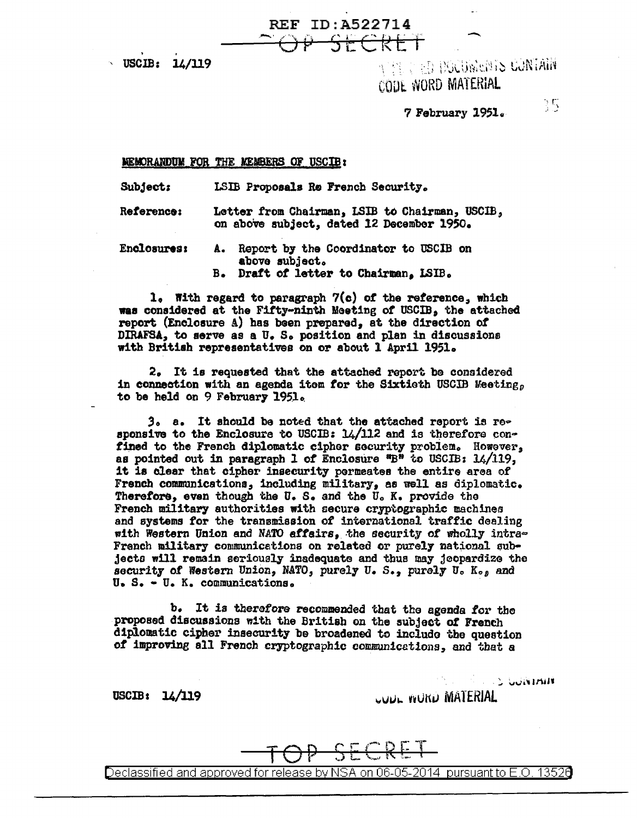REF ID: A522714 CODE WORD MATERIAL

7 February l9Sla

 $\mathbb{C}$ 

### **MEMORANDUM FOR THE MEMBERS OF USCIB:**

Subject: LSIB Proposals Re French Security <sup>a</sup>

Reference: Letter from Chairman, LSIB to Chairman, USCIB, on abow subject, dated 12 December 1950.

REF ID:A522714<br>COP SECRET

Enclosures: A. Report by the Coordinator to USCIB on above subject. B. Draft *ot* letter to Chairman, LSIB.

l, With regard to paragraph 7(c) of the reference, which wae considered at the Fifty-ninth Meeting *ot* USCIB, the attached report (Enclosure A) has been prepared, et the direction of DIRAFSA, to serve as a U. S. position and plan in discussions with British representatives on or about 1 April 1951.

2. It is requested that the attached report be considered in connection with an agenda itom for the Sixtieth USCIB Meeting, to be held on 9 February 1951.

 $3<sub>o</sub>$  a. It should be noted that the attached report is re $\sim$ sponsive to the Enclosure to USCIB:  $1/112$  and is therefore confined to the French diplomatic cipher security problem. However, as pointed out in paragraph 1 of Enclosure "B" to USCIB:  $14/119$ , it is clear that cipher insecurity permeates the entire area of French communications, including military, as well as diplomatic. Therefore, even though the U. S. and the U. K. provide the French military authorities with secure cryptographic machines and systems for the transmission of international traffic dealing with Western Union and NATO affairs, the security of wholly intra-French military communications on related or purely national subjecto will remain seriously inadequate and tbua may jeopardize the security of Western Union, NATO, purely U.S., purely U. K., and u. s. - u. K. communications.

b. It is therefore recommended that the agenda for the proposed discussions w!th the British on the subject of French diplomatic cipher insecurity be broadened to include the question *ot* improving all French cryptographic communicetions, and that a

 $USCIB: 14/119$   $UUU.$  v $UU.$  MATERIAL

 $\sim$  'ouristant

SECRET Declassified and approved for release by NSA on 06-05-2014 pursuantto E.O. 1352a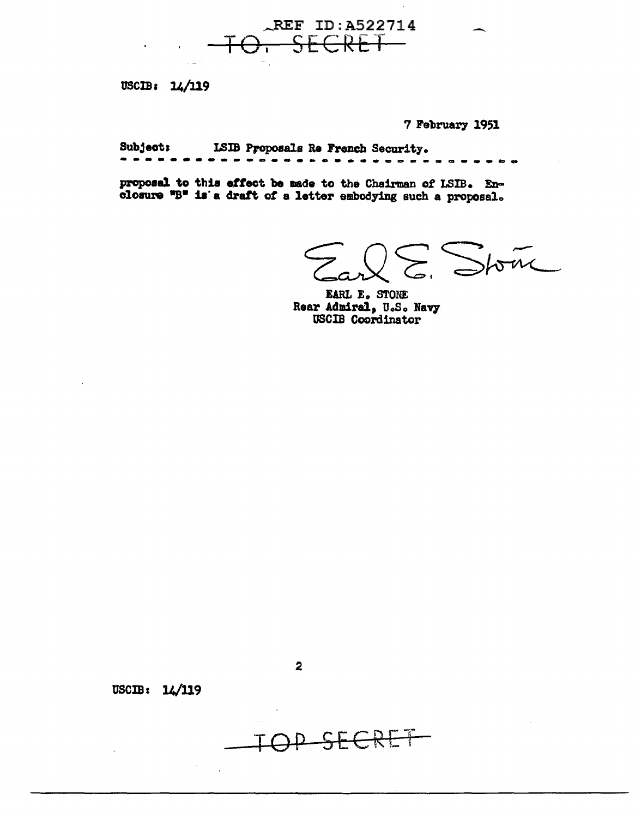

USCIB: 14/119

7 February 1951

ISIB Proposals Re French Security. **Subject:** 

proposal to this effect be made to the Chairman of LSIB. Enclosure "B" is a draft of a letter embodying such a proposal.

Stone  $\sum$ 

EARL E. STONE Rear Admiral, U.S. Navy **USCIB** Coordinator

USCIB: 14/119



 $\overline{2}$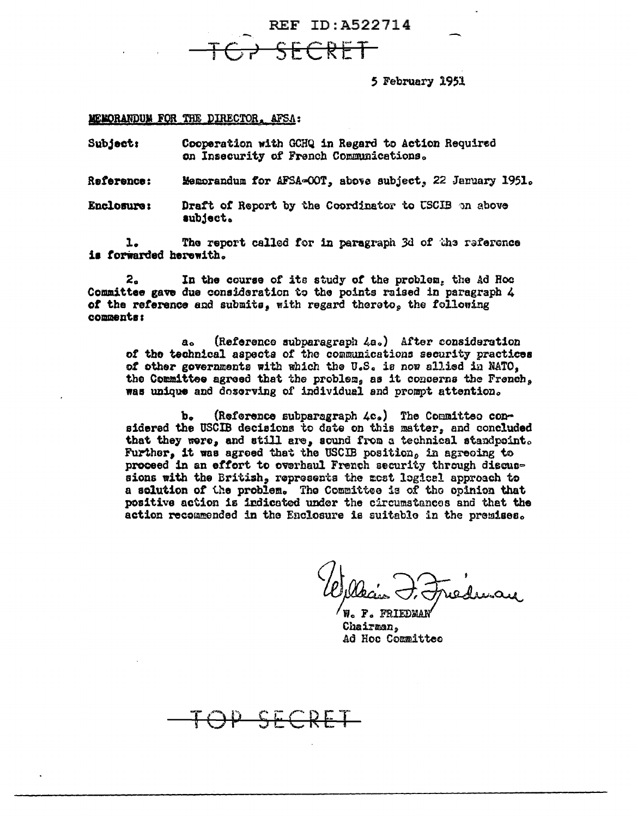REF ID: A522714

5 February 1951

MEMORANDUM FOR THE DIRECTOR, AFSA:

Cooperation with GCHQ in Regard to Action Required Subject: on Insecurity of French Communications.

Reference: Memorandum for AFSA=COT, above subject, 22 January 1951.

Enclosure: Draft of Report by the Coordinator to USCIB on above subject.

The report called for in paragraph 3d of the reference ı. is forwarded herewith.

In the course of its study of the problem, the Ad Roc 2. Committee gave due consideration to the points raised in paragraph 4 of the reference and submits. with regard thereto, the following comments:

(Reference subparagraph 4a.) After consideration  $a_{\alpha}$ of the technical aspects of the communications security practices of other governments with which the U.S. is now allied in NATO, the Committee agreed that the problem, as it concerns the French, was unique and doserving of individual and prompt attention.

(Reference subparagraph 4c.) The Committee con-Ъ. sidered the USCIB decisions to date on this matter, and concluded that they were, and still are, sound from a technical standpoint. Further, it was agreed that the USCIB position, in agreeing to proceed in an effort to overhaul French security through discussions with the British, represents the most logical approach to a solution of the problem. The Committee is of the opinion that positive action is indicated under the circumstances and that the action recommended in the Enclosure is suitable in the premises.

P. FRIEDMAN Chairman, Ad Hoc Committee

SECRET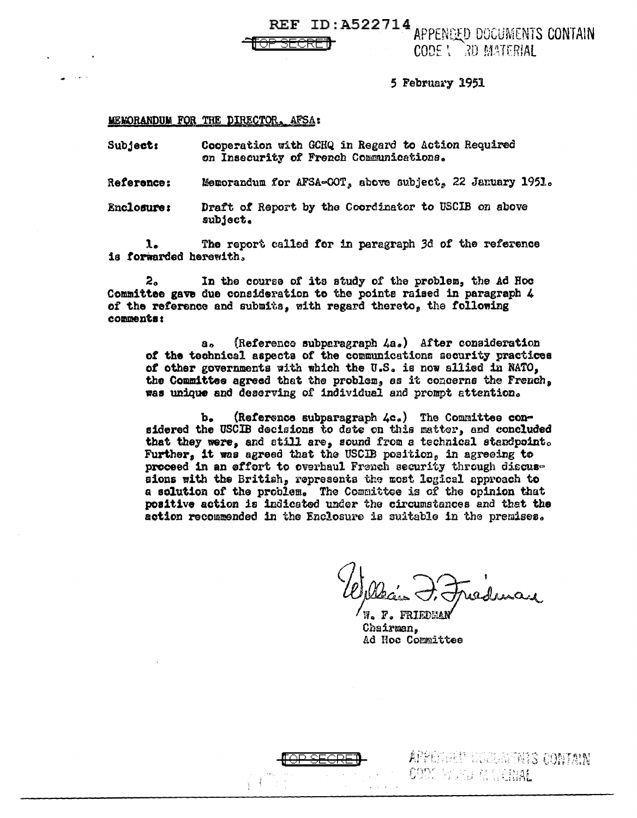**REF ID:A522714** APPENDED DOGUMENTS CONTAIN CODE ! 3D MATERIAL

5 February 1951

### MEWORANDUM FOR THE DIRECTOR, AFSA:

Subject: Cooperation with GCHQ in Regard to Action Required on Insecurity of French Communications.

Memorandum for AFSA-00T, above subject, 22 January 1951. **Reference:** 

**Enclosure:** Draft of Report by the Coordinator to USCIB on above subject.

 $\lambda$ . The report called for in paragraph 3d of the reference is forwarded herewith.

 $z_{\circ}$ In the course of its study of the problem, the Ad Hoc Committee gave due consideration to the points raised in paragraph 4 of the reference and submits, with regard thereto, the following comments:

(Reference subparagraph 4a.) After consideration  $a_{\alpha}$ of the technical aspects of the communications security practices of other governments with which the U.S. is now allied in NATO. the Committee agreed that the problem, as it concerns the French. was unique and deserving of individual and prompt attention.

(Reference subparagraph 4c.) The Committee conъ. sidered the USCIB decisions to date on this matter, and concluded that they were, and still are, sound from a technical standpoint. Further, it was agreed that the USCIB position, in agreeing to proceed in an effort to overhaul French security through discussions with the British, represents the most logical approach to a solution of the problem. The Committee is of the opinion that positive action is indicated under the circumstances and that the action recommended in the Enclosure is suitable in the premises.

W. F. FRIEDEA Chairman. Ad Hoc Committee



APPERIMENT CONTAIN COOK BOARD MARKETAL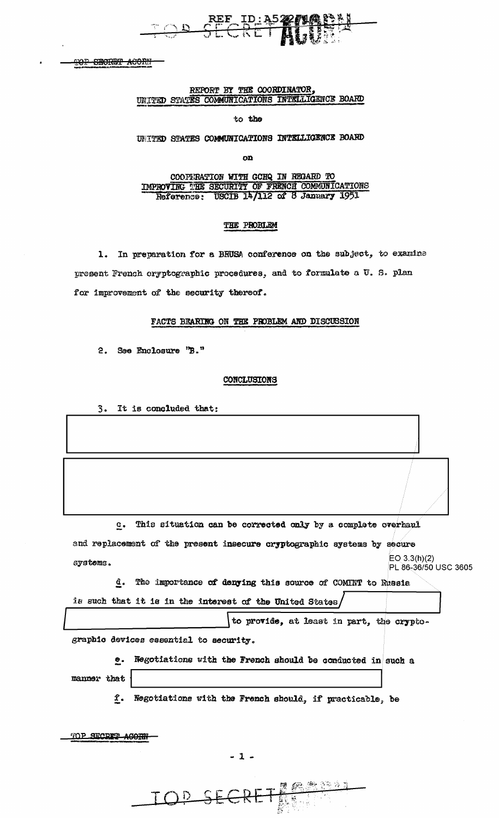**TOP SECRET ACORN** 

### REPORT BY THE COORDINATOR, UNITED STATES COMMUNICATIONS INTELLIGENCE BOARD

to the

UNITED STATES COMMUNICATIONS INTELLIGENCE BOARD

on

COOPERATION WITH GCHQ IN REGARD TO IMPROVING THE SECURITY OF FRENCH COMMUNICATIONS<br>Reference: USCIB 14/112 of 8 January 1951

### THE PROBLEM

1. In preparation for a BRUSA conference on the subject, to examine present French cryptographic procedures, and to formulate a U.S. plan for improvement of the security thereof.

### FACTS BEARING ON THE PROBLEM AND DISCUSSION

2. See Enclosure "B."

### CONCLUSIONS

3. It is concluded that:

This situation can be corrected only by a complete overhaul  $c_{\bullet}$ 

and replacement of the present insecure cryptographic systems by secure EO  $3.3(h)(2)$ systems. PL 86-36/50 USC 3605

d. The importance of denying this source of COMINT to Russia is such that it is in the interest of the United States/

to provide, at least in part, the crypto-

graphic devices essential to security.

e. Negotiations with the French should be conducted in such a manner that

f. Negotiations with the French should, if practicable, be

TOP SECRIT ACORN

 $-1-$ 

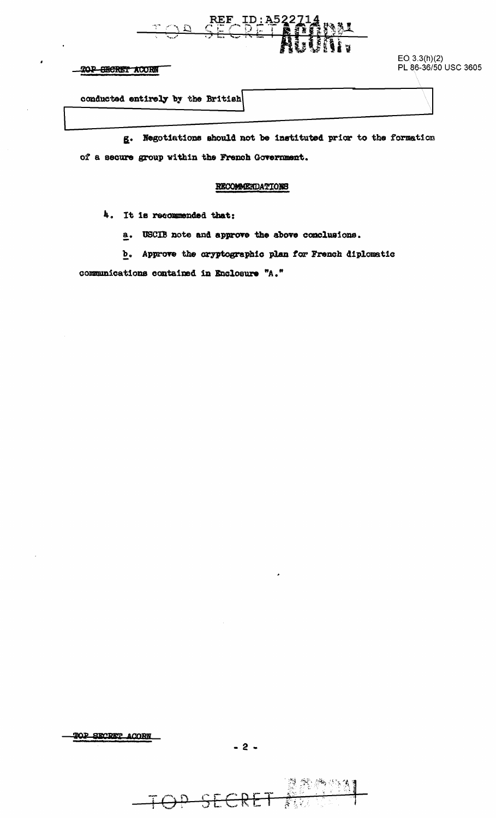

### TOP SECRET ACORN

EO 3.3(h)(2)<br>PL 86-36/50 USC 3605

conducted entirely by the British

g. Negotiations should not be instituted prior to the formation of a secure group within the French Government.

### RECOMMERDATIONS

4. It is recommended that:

a. USCIB note and approve the above conclusions.

b. Approve the cryptographic plan for French diplomatic

communications contained in Enclosure "A."

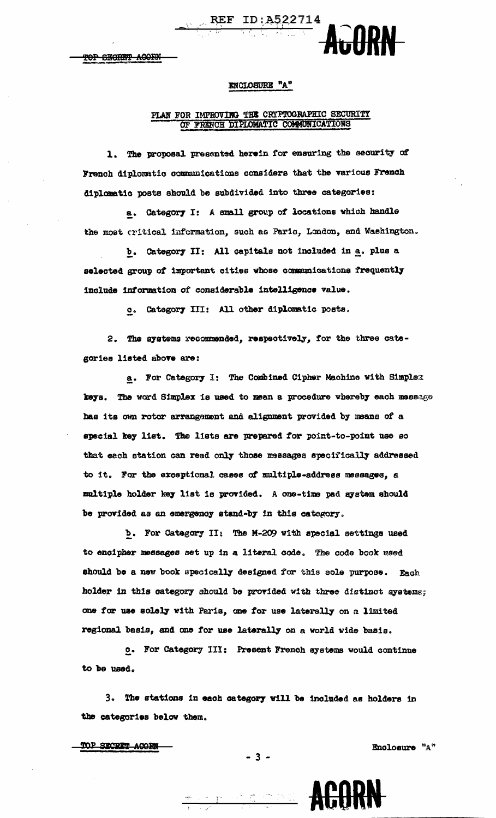### ENCLOSURE "A"

REF ID: A522714

# PLAN FOR IMPROVING THE CRYPTOGRAPHIC SECURITY OF FRENCH DIPLOMATIC COMMUNICATIONS

1. The proposal presented herein for ensuring the security of French diplomatic communications considers that the various French diplomatic posts should be subdivided into three categories:

a. Category I: A small group of locations which handle the most critical information, such as Paris, London, and Washington.

b. Category II: All capitals not included in a. plus a selected group of important cities whose communications frequently include information of considerable intelligence value.

c. Category III: All other diplomatic posts.

2. The systems recommended, respectively, for the three categories listed above are:

a. For Category I: The Combined Cipher Machine with Simplex keys. The word Simplex is used to mean a procedure whereby each message has its own rotor arrangement and alignment provided by means of a special key list. The lists are prepared for point-to-point use so that each station can read only those messages specifically addressed to it. For the exceptional cases of multiple-address messages, a multiple holder key list is provided. A one-time pad system should be provided as an emergency stand-by in this category.

b. For Category II: The M-209 with special settings used to encipher messages set up in a literal code. The code book used should be a new book specically designed for this sole purpose. Each holder in this category should be provided with three distinct systems: one for use solely with Paris, one for use laterally on a limited regional basis, and one for use laterally on a world wide basis.

o. For Category III: Present French systems would continue to be used.

3. The stations in each category will be included as holders in the categories below them.

 $-3 -$ 

TOP SECRET ACORM

Enclosure "A"

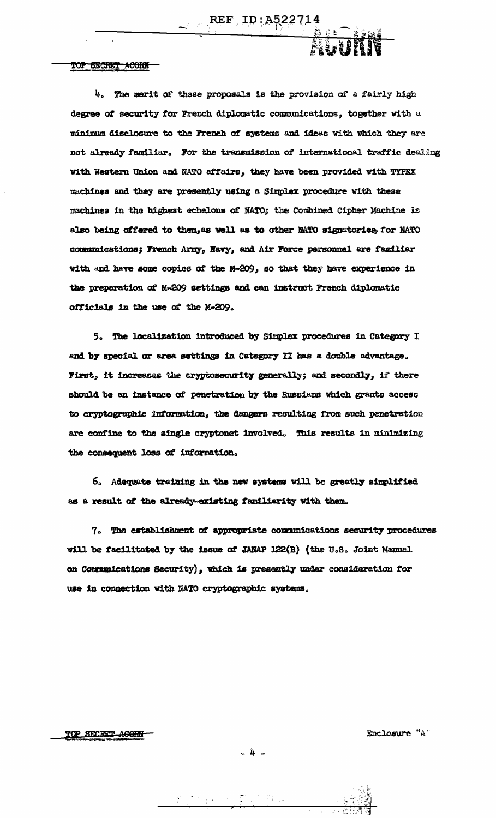TOP SECRET ACORN

4. The merit of these proposals is the provision of a fairly high degree of security for French diplomatic communications, together with a minimum disclosure to the French of systems and ideas with which they are not already familiar. For the transmission of international traffic dealing with Western Union and NATO affairs, they have been provided with TYPRX machines and they are presently using a Simplex procedure with these machines in the highest echelons of NATO; the Combined Cipher Machine is also being offered to them, as well as to other MATO signatories, for NATO communications; French Army, Navy, and Air Force parsonnel are familiar with and have some copies of the M-209, so that they have experience in the preparation of M-209 settings and can instruct French diplomatic officials in the use of the M-209.

 $\sim$  REF ID: A52271

5. The localization introduced by Simplex procedures in Category I and by special or area settings in Category II has a double advantage. First, it increases the cryptosecurity generally; and secondly, if there should be an instance of penetration by the Russians which grants access to cryptographic information, the dangers resulting from such penetration are confine to the single cryptonet involved. This results in minimizing the consequent loss of information.

6. Adequate training in the new systems will be greatly simplified as a result of the already-existing familiarity with them.

7. The establishment of appropriate communications security procedures will be facilitated by the issue of JANAP 122(B) (the U.S. Joint Manual on Communications Security), which is presently under consideration for use in connection with NATO cryptographic systems.

TOP SECRET ACORN

Enclosure "A"

机直接板 人名罗马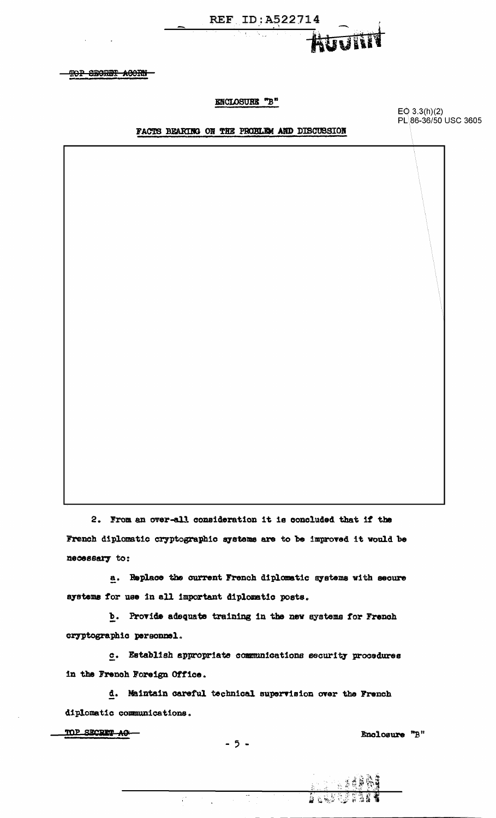

**TOP SECRET ACORN-**

 $\alpha$  and  $\alpha$ 

### ENCLOSURE "B"

### FACTS BEARING ON THE PROBLEM AND DISCUSSION

EO 3.3(h)(2)<br>PL\86-36/50 USC 3605

2. From an over-all consideration it is concluded that if the French diplomatic cryptographic systems are to be improved it would be necessary to:

a. Replace the current French diplomatic systems with secure systems for use in all important diplomatic posts.

b. Provide adequate training in the new systems for French cryptographic personnel.

c. Establish appropriate communications security procedures in the French Foreign Office.

d. Maintain careful technical supervision over the French diplomatic communications.

TOP SECRET AC-

Enclosure "B"

 $\overline{\phantom{a}}$ 

 $\mathcal{C}^{\mathcal{L}}$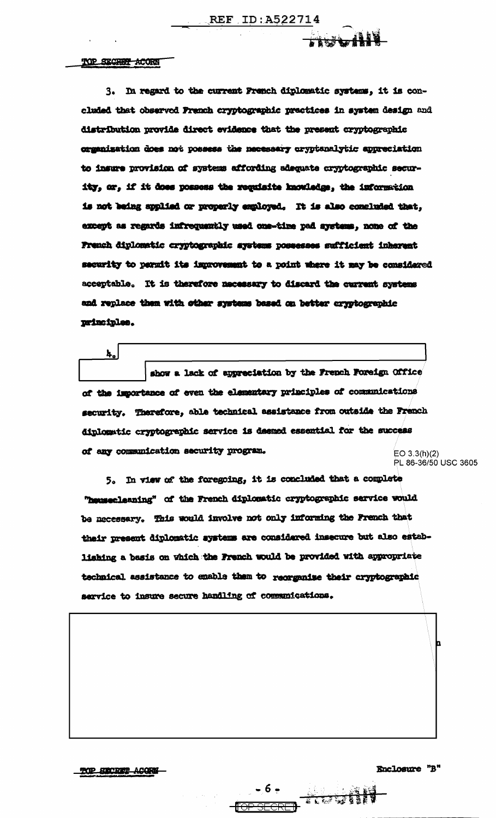REF ID: A522714

FRS MIN

### TOP STORET ACORD

 $\mathbf{k}_\bullet$ 

3. In regard to the current French diplomatic systems, it is concluded that observed French cryptographic practices in system design and distribution provide direct evidence that the present cryptographic organization does not possess the necessary oryptanalytic appreciation to insure provision of systems affording adequate cryptographic security, or, if it does possess the requisite knowledge, the information is not being applied or properly employed. It is also concluded that, except as regards infrequently used one-time pad systems, none of the French diplomatic cryptographic systems possesses sufficient inherent security to permit its improvement to a point where it may be considered acceptable. It is therefore necessary to discard the current systems and replace them with other systems based on better cryptographic principles.

show a lack of appreciation by the French Foreign Office of the importance of even the elementary principles of communications security. Therefore, able technical assistance from outside the French diplomatic cryptographic service is deemed essential for the success of any communication security program.  $EO 3.3(h)(2)$ 

PL 86-36/50 USC 3605

5. In view of the foregoing, it is concluded that a complete "housecleaning" of the French diplomatic cryptographic service would be necessary. This would involve not only informing the French that their present diplomatic systems are considered insecure but also establishing a basis on which the French would be provided with appropriate technical assistance to enable them to reorganize their cryptographic service to insure secure handling of communications.

**EXAMPLE OF SECRETARY OF SECRETARY AND SECRETARY AND RESIDENCE** 

TOP SECRET ACORS-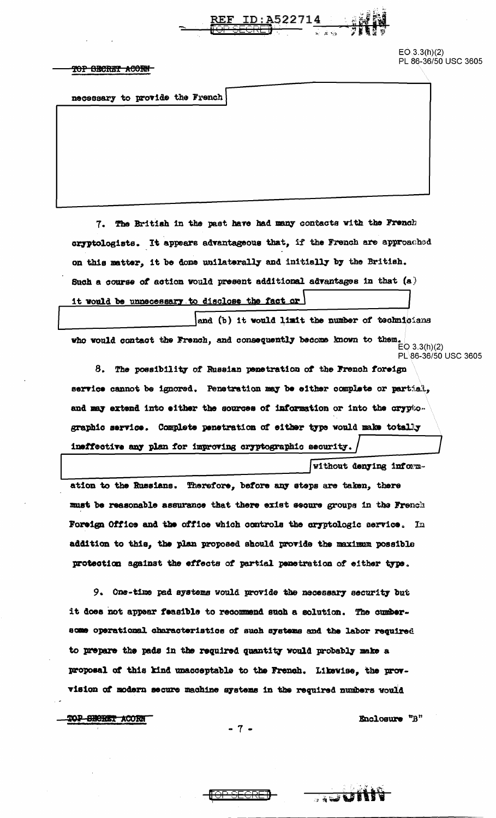

 $EO(3.3(h)(2)$ PL 86-36/50 USC 3605

### TOP SECRET ACORN

necessary to provide the French

7. The British in the past have had many contacts with the French cryptologists. It appears advantageous that, if the French are approached on this matter, it be done unilaterally and initially by the British. Such a course of action would present additional advantages in that  $(a)$ it would be unnecessary to disclose the fact or

and (b) it would limit the number of technicians who would contact the French, and consequently become known to them.  $E[O(3.3(h)(2)]$ PL 86-36/50 USC 3605

8. The possibility of Russian penetration of the French foreign service cannot be ignored. Penetration may be either complete or partial, and may extend into either the sources of information or into the cryptographic service. Complete penetration of either type would make totally ineffective any plan for improving cryptographic security.

*Without denying inform*ation to the Russians. Therefore, before any steps are taken, there must be reasonable assurance that there exist secure groups in the French Foreign Office and the office which controls the cryptologic service. In addition to this, the plan proposed should provide the maximum possible protection against the effects of partial penetration of either type.

9. Ons-time pad systems would provide the necessary security but it does not appear feasible to recommend such a solution. The cumbersome operational characteristics of such systems and the labor required to prepare the pads in the required quantity would probably make a proposal of this kind unacceptable to the French. Likewise, the provvision of modern secure machine systems in the required numbers would

TOP SHORET ACORN

Enclosure "B"

**BEER CONSTRUCT** 

 $-7-$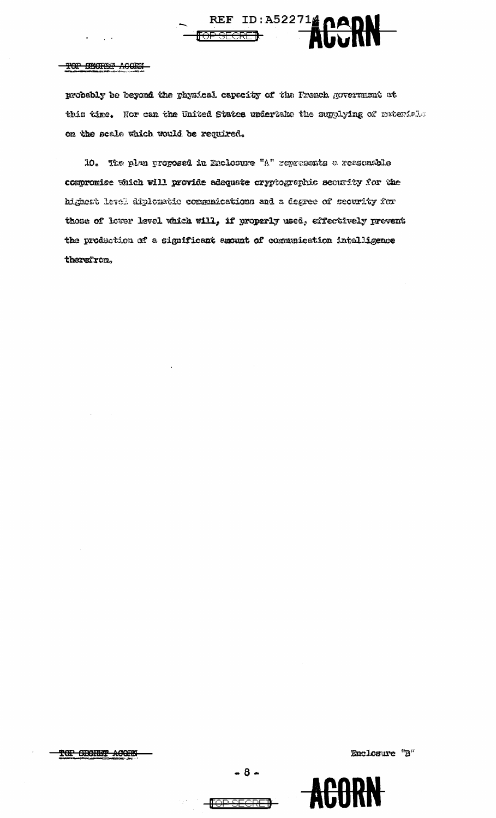#### ACORN TOP SECRES

probably be beyond the physical capecity of the French government at this time. Nor can the United States undertake the supplying of materials on the scale which would be required.

REF ID: A522714 OADN

10. The plan proposed in Enclosure "A" represents a reasonsble compromise which will provide adequate cryptographic security for the highest level diplomatic communications and a degree of security for those of lower level which will, if properly used, effectively prevent the production of a significant enount of communication intelligence therefrom.

TOP SECRET ACORN

AGU

**FOR SEGRE**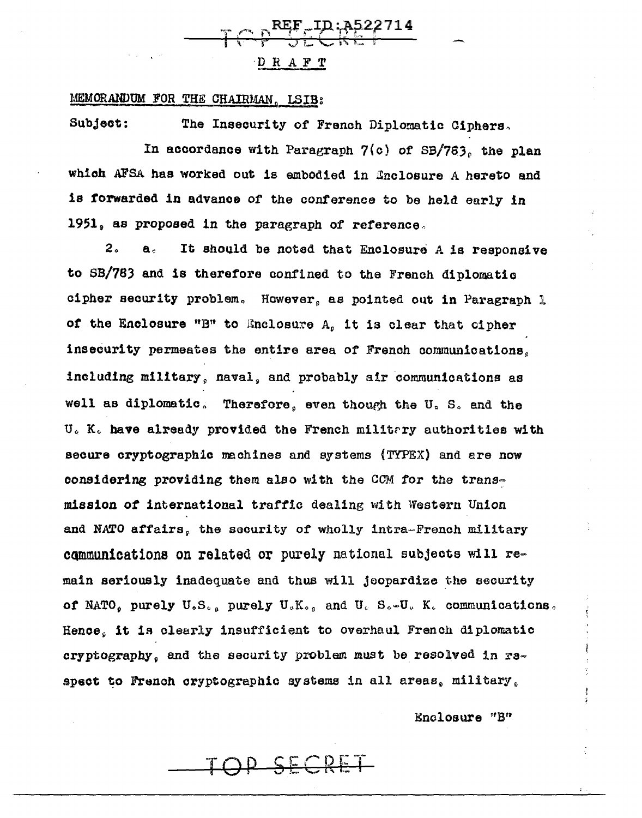

### MEMORANDUM FOR THE CHAIRMAN, LSIB:

Subject: The Insecurity of French Diplomatic Ciphers.

In accordance with Paragraph  $7(c)$  of SB/763, the plan which AFSA has worked out is embodied in finclosure A hereto and is forwarded in advance of the conference to be held early in 1951, as proposed in the paragraph of reference.

2. a. It should be noted that Enclosure A is responsive to SB/783 and is therefore confined to the French diplomatio cipher security problem. However, as pointed out in Paragraph 1 of the Enclosure "B" to Enclosure A, it is clear that cipher insecurity permeates the entire area of French communications. including military, naval, and probably air communications as well as diplomatic. Therefore, even though the U.S. and the U. K. have already provided the French military authorities with secure cryptographic machines and systems (TYPEX) and are now considering providing them also with the CCM for the transmission *ot* international traffic dealing with Western Union and NATO affairs, the security of wholly intra-French military communications on related or purely national subjects will re= main seriously inadequate and thus will jeopardize the security of NATO, purely U.S., purely U.K., and U. S.-U. K. communications. Hence, it is clearly insufficient to overhaul French diplomatic cryptography, and the security problem must be resolved in raspect to French cryptographic systems in all areas, military,

Enclosure "B"

TOP SECRET